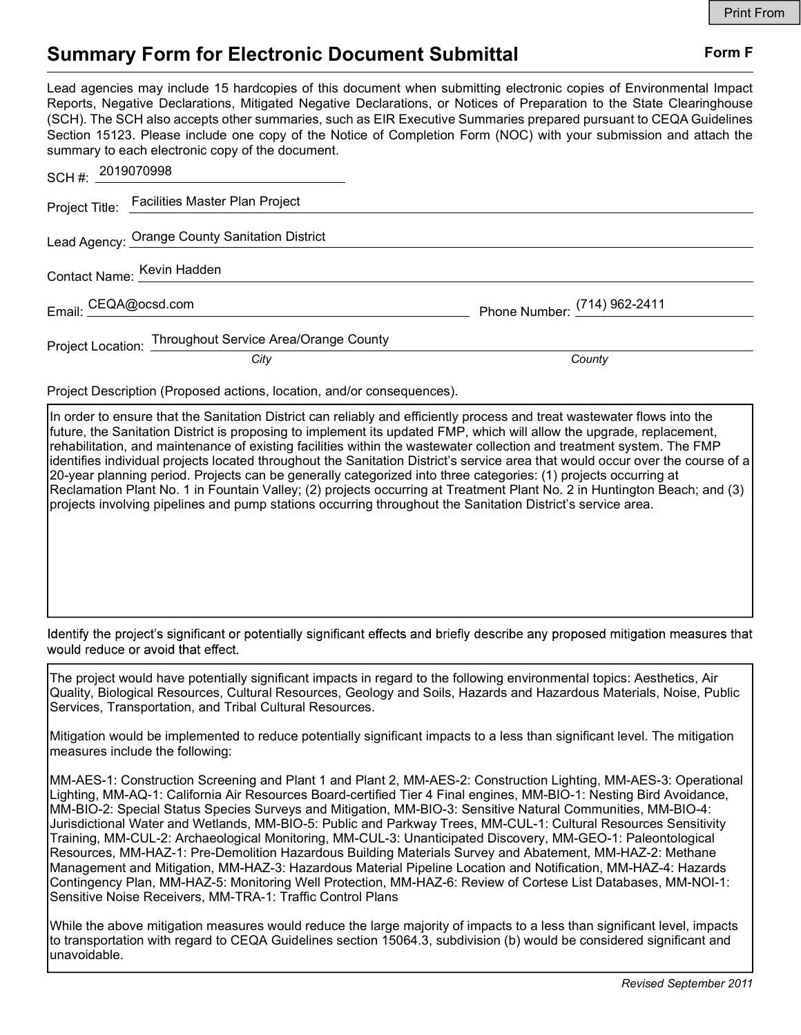## Summary Form for Electronic Document Submittal Form F

Lead agencies may include 15 hardcopies of this document when submitting electronic copies of Environmental Impact Reports, Negative Declarations, Mitigated Negative Declarations, or Notices of Preparation to the State Clearinghouse (SCH). The SCH also accepts other summaries, such as EIR Executive Summaries prepared pursuant to CEQA Guidelines Section 15123. Please include one copy of the Notice of Completion Form (NOC) with your submission and attach the summary to each electronic copy of the document.

| SCH #: 2019070998                                       |                              |
|---------------------------------------------------------|------------------------------|
| Project Title: Facilities Master Plan Project           |                              |
| Lead Agency: Orange County Sanitation District          |                              |
| Contact Name: <u>Kevin Hadden</u>                       |                              |
| Email: CEQA@ocsd.com                                    | Phone Number: (714) 962-2411 |
| Project Location: Throughout Service Area/Orange County |                              |
| City                                                    | County                       |

Project Description (Proposed actions, location, and/or consequences).

In order to ensure that the Sanitation District can reliably and efficiently process and treat wastewater flows into the future, the Sanitation District is proposing to implement its updated FMP, which will allow the upgrade, replacement, rehabilitation, and maintenance of existing facilities within the wastewater collection and treatment system. The FMP identifies individual projects located throughout the Sanitation District's service area that would occur over the course of a 20-year planning period. Projects can be generally categorized into three categories: (1) projects occurring at Reclamation Plant No. 1 in Fountain Valley; (2) projects occurring at Treatment Plant No. 2 in Huntington Beach; and (3) projects involving pipelines and pump stations occurring throughout the Sanitation District's service area.

Identify the project's significant or potentially significant effects and briefly describe any proposed mitigation measures that would reduce or avoid that effect.

The project would have potentially significant impacts in regard to the following environmental topics: Aesthetics, Air Quality, Biological Resources, Cultural Resources, Geology and Soils, Hazards and Hazardous Materials, Noise, Public Services, Transportation, and Tribal Cultural Resources.

Mitigation would be implemented to reduce potentially significant impacts to a less than significant level. The mitigation measures include the following:

MM-AES-1: Construction Screening and Plant 1 and Plant 2, MM-AES-2: Construction Lighting, MM-AES-3: Operational Lighting, MM-AQ-1: California Air Resources Board-certified Tier 4 Final engines, MM-BIO-1: Nesting Bird Avoidance, MM-BIO-2: Special Status Species Surveys and Mitigation, MM-BIO-3: Sensitive Natural Communities, MM-BIO-4: Jurisdictional Water and Wetlands, MM-BIO-5: Public and Parkway Trees, MM-CUL-1: Cultural Resources Sensitivity Training, MM-CUL-2: Archaeological Monitoring, MM-CUL-3: Unanticipated Discovery, MM-GEO-1: Paleontological Resources, MM-HAZ-1: Pre-Demolition Hazardous Building Materials Survey and Abatement, MM-HAZ-2: Methane Management and Mitigation, MM-HAZ-3: Hazardous Material Pipeline Location and Notification, MM-HAZ-4: Hazards Contingency Plan, MM-HAZ-5: Monitoring Well Protection, MM-HAZ-6: Review of Cortese List Databases, MM-NOI-1: Sensitive Noise Receivers, MM-TRA-1: Traffic Control Plans

While the above mitigation measures would reduce the large majority of impacts to a less than significant level, impacts to transportation with regard to CEQA Guidelines section 15064.3, subdivision (b) would be considered significant and unavoidable.